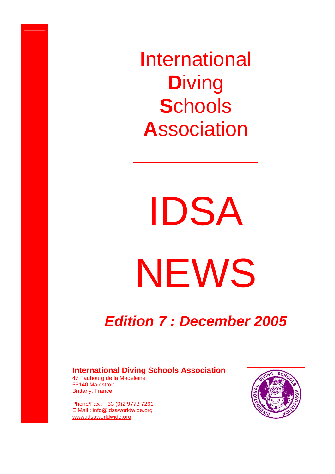**I**nternational **D**iving **S**chools **A**ssociation

\_\_\_\_\_\_\_\_\_\_\_

IDSA NEWS

# *Edition 7 : December 2005*

### **International Diving Schools Association**

47 Faubourg de la Madeleine 56140 Malestroit Brittany, France

Phone/Fax : +33 (0)2 9773 7261 E Mail : info@idsaworldwide.org www.idsaworldwide.org

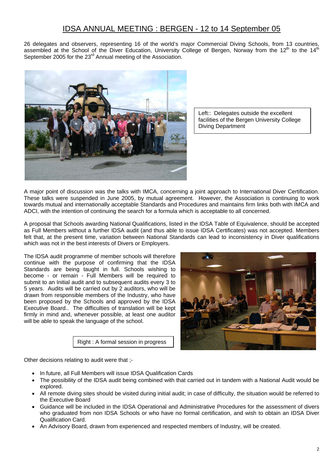## IDSA ANNUAL MEETING : BERGEN - 12 to 14 September 05

26 delegates and observers, representing 16 of the world's major Commercial Diving Schools, from 13 countries, assembled at the School of the Diver Education, University College of Bergen, Norway from the 12<sup>th</sup> to the 14<sup>th</sup> September 2005 for the 23<sup>rd</sup> Annual meeting of the Association.



Left:: Delegates outside the excellent facilities of the Bergen University College Diving Department

A major point of discussion was the talks with IMCA, concerning a joint approach to International Diver Certification. These talks were suspended in June 2005, by mutual agreement. However, the Association is continuing to work towards mutual and internationally acceptable Standards and Procedures and maintains firm links both with IMCA and ADCI, with the intention of continuing the search for a formula which is acceptable to all concerned.

A proposal that Schools awarding National Qualifications, listed in the IDSA Table of Equivalence, should be accepted as Full Members without a further IDSA audit (and thus able to issue IDSA Certificates) was not accepted. Members felt that, at the present time, variation between National Standards can lead to inconsistency in Diver qualifications which was not in the best interests of Divers or Employers.

The IDSA audit programme of member schools will therefore continue with the purpose of confirming that the IDSA Standards are being taught in full. Schools wishing to become - or remain - Full Members will be required to submit to an Initial audit and to subsequent audits every 3 to 5 years. Audits will be carried out by 2 auditors, who will be drawn from responsible members of the Industry, who have been proposed by the Schools and approved by the IDSA Executive Board.. The difficulties of translation will be kept firmly in mind and, whenever possible, at least one auditor will be able to speak the language of the school.

Right : A formal session in progress



Other decisions relating to audit were that ;-

- In future, all Full Members will issue IDSA Qualification Cards
- The possibility of the IDSA audit being combined with that carried out in tandem with a National Audit would be explored.
- All remote diving sites should be visited during initial audit; in case of difficulty, the situation would be referred to the Executive Board
- Guidance will be included in the IDSA Operational and Administrative Procedures for the assessment of divers who graduated from non IDSA Schools or who have no formal certification, and wish to obtain an IDSA Diver Qualification Card.
- An Advisory Board, drawn from experienced and respected members of Industry, will be created.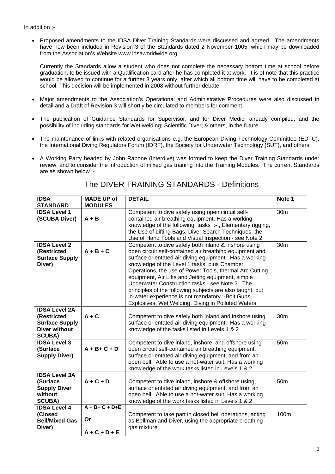• Proposed amendments to the IDSA Diver Training Standards were discussed and agreed. The amendments have now been included in Revision 3 of the Standards dated 2 November 1005, which may be downloaded from the Association's Website www.idsaworldwide.org.

Currently the Standards allow a student who does not complete the necessary bottom time at school before graduation, to be issued with a Qualification card after he has completed it at work. It is of note that this practice would be allowed to continue for a further 3 years only, after which all bottom time will have to be completed at school. This decision will be implemented in 2008 without further debate.

- Major amendments to the Association's Operational and Administrative Procedures were also discussed in detail and a Draft of Revision 3 will shortly be circulated to members for comment.
- The publication of Guidance Standards for Supervisor, and for Diver Medic, already compiled, and the possibility of including standards for Wet welding; Scientific Diver; & others, in the future.
- The maintenance of links with related organisations e.g. the European Diving Technology Committee (EDTC), the International Diving Regulators Forum (IDRF), the Society for Underwater Technology (SUT), and others.
- A Working Party headed by John Rabone (Interdive) was formed to keep the Diver Training Standards under review, and to consider the introduction of mixed gas training into the Training Modules. The current Standards are as shown below ;-

| <b>IDSA</b>                                                                                           | <b>MADE UP of</b>                            | <b>DETAIL</b>                                                                                                                                                                                                                                                                                                                                                                                                                                                                                                                                                         | Note 1          |
|-------------------------------------------------------------------------------------------------------|----------------------------------------------|-----------------------------------------------------------------------------------------------------------------------------------------------------------------------------------------------------------------------------------------------------------------------------------------------------------------------------------------------------------------------------------------------------------------------------------------------------------------------------------------------------------------------------------------------------------------------|-----------------|
| <b>STANDARD</b>                                                                                       | <b>MODULES</b>                               |                                                                                                                                                                                                                                                                                                                                                                                                                                                                                                                                                                       |                 |
| <b>IDSA Level 1</b><br>(SCUBA Diver)                                                                  | $A + B$                                      | Competent to dive safely using open circuit self-<br>contained air breathing equipment. Has a working<br>knowledge of the following tasks :-, Elementary rigging,<br>the Use of Lifting Bags, Diver Search Techniques, the<br>Use of Hand Tools and Visual Inspection - see Note 2                                                                                                                                                                                                                                                                                    | 30m             |
| <b>IDSA Level 2</b><br>(Restricted<br><b>Surface Supply</b><br>Diver)                                 | $A + B + C$                                  | Competent to dive safely both inland & inshore using<br>open circuit self-contained air breathing equipment and<br>surface orientated air diving equipment. Has a working<br>knowledge of the Level 1 tasks plus Chamber<br>Operations, the use of Power Tools, thermal Arc Cutting<br>equipment, Air Lifts and Jetting equipment, simple<br>Underwater Construction tasks - see Note 2. The<br>principles of the following subjects are also taught, but<br>in-water experience is not mandatory ;- Bolt Guns,<br>Explosives, Wet Welding, Diving in Polluted Waters | 30m             |
| <b>IDSA Level 2A</b><br>(Restricted<br><b>Surface Supply</b><br><b>Diver without</b><br><b>SCUBA)</b> | $A + C$                                      | Competent to dive safely both inland and inshore using<br>surface orientated air diving equipment. Has a working<br>knowledge of the tasks listed in Levels 1 & 2                                                                                                                                                                                                                                                                                                                                                                                                     | 30m             |
| <b>IDSA Level 3</b><br>(Surface<br><b>Supply Diver)</b>                                               | $A + B + C + D$                              | Competent to dive inland, inshore, and offshore using<br>open circuit self-contained air breathing equipment,<br>surface orientated air diving equipment, and from an<br>open bell. Able to use a hot-water suit. Has a working<br>knowledge of the work tasks listed in Levels 1 & 2.                                                                                                                                                                                                                                                                                | 50 <sub>m</sub> |
| <b>IDSA Level 3A</b><br>(Surface<br><b>Supply Diver</b><br>without<br><b>SCUBA)</b>                   | $A + C + D$                                  | Competent to dive inland, inshore & offshore using,<br>surface orientated air diving equipment, and from an<br>open bell. Able to use a hot-water suit. Has a working<br>knowledge of the work tasks listed in Levels 1 & 2.                                                                                                                                                                                                                                                                                                                                          | 50 <sub>m</sub> |
| <b>IDSA Level 4</b><br>(Closed<br><b>Bell/Mixed Gas</b><br>Diver)                                     | $A + B + C + D + E$<br>Or<br>$A + C + D + E$ | Competent to take part in closed bell operations, acting<br>as Bellman and Diver, using the appropriate breathing<br>gas mixture                                                                                                                                                                                                                                                                                                                                                                                                                                      | 100m            |

## The DIVER TRAINING STANDARDS - Definitions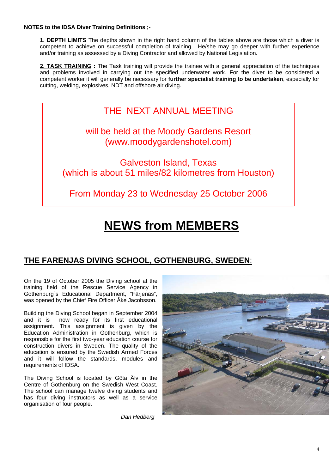#### **NOTES to the IDSA Diver Training Definitions ;-**

**1. DEPTH LIMITS** The depths shown in the right hand column of the tables above are those which a diver is competent to achieve on successful completion of training. He/she may go deeper with further experience and/or training as assessed by a Diving Contractor and allowed by National Legislation.

**2. TASK TRAINING :** The Task training will provide the trainee with a general appreciation of the techniques and problems involved in carrying out the specified underwater work. For the diver to be considered a competent worker it will generally be necessary for **further specialist training to be undertaken**, especially for cutting, welding, explosives, NDT and offshore air diving.

THE NEXT ANNUAL MEETING

will be held at the Moody Gardens Resort (www.moodygardenshotel.com)

Galveston Island, Texas (which is about 51 miles/82 kilometres from Houston)

From Monday 23 to Wednesday 25 October 2006

# **NEWS from MEMBERS**

# **THE FARENJAS DIVING SCHOOL, GOTHENBURG, SWEDEN**:

On the 19 of October 2005 the Diving school at the training field of the Rescue Service Agency in Gothenburg´s Educational Department, "Färjenäs", was opened by the Chief Fire Officer Åke Jacobsson.

Building the Diving School began in September 2004 and it is now ready for its first educational assignment. This assignment is given by the Education Administration in Gothenburg, which is responsible for the first two-year education course for construction divers in Sweden. The quality of the education is ensured by the Swedish Armed Forces and it will follow the standards, modules and requirements of IDSA.

The Diving School is located by Göta Älv in the Centre of Gothenburg on the Swedish West Coast. The school can manage twelve diving students and has four diving instructors as well as a service organisation of four people.

 *Dan Hedberg* 

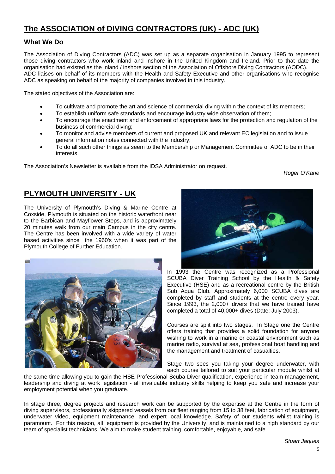# **The ASSOCIATION of DIVING CONTRACTORS (UK) - ADC (UK)**

### **What We Do**

The Association of Diving Contractors (ADC) was set up as a separate organisation in January 1995 to represent those diving contractors who work inland and inshore in the United Kingdom and Ireland. Prior to that date the organisation had existed as the inland / inshore section of the Association of Offshore Diving Contractors (AODC). ADC liaises on behalf of its members with the Health and Safety Executive and other organisations who recognise ADC as speaking on behalf of the majority of companies involved in this industry.

The stated objectives of the Association are:

- To cultivate and promote the art and science of commercial diving within the context of its members;
- To establish uniform safe standards and encourage industry wide observation of them;
- To encourage the enactment and enforcement of appropriate laws for the protection and regulation of the business of commercial diving;
- To monitor and advise members of current and proposed UK and relevant EC legislation and to issue general information notes connected with the industry;
- To do all such other things as seem to the Membership or Management Committee of ADC to be in their interests.

The Association's Newsletter is available from the IDSA Administrator on request.

*Roger O'Kane* 

## **PLYMOUTH UNIVERSITY - UK**

The University of Plymouth's Diving & Marine Centre at Coxside, Plymouth is situated on the historic waterfront near to the Barbican and Mayflower Steps, and is approximately 20 minutes walk from our main Campus in the city centre. The Centre has been involved with a wide variety of water based activities since the 1960's when it was part of the Plymouth College of Further Education.





In 1993 the Centre was recognized as a Professional SCUBA Diver Training School by the Health & Safety Executive (HSE) and as a recreational centre by the British Sub Aqua Club. Approximately 6,000 SCUBA dives are completed by staff and students at the centre every year. Since 1993, the 2,000+ divers that we have trained have completed a total of 40,000+ dives (Date: July 2003).

Courses are split into two stages. In Stage one the Centre offers training that provides a solid foundation for anyone wishing to work in a marine or coastal environment such as marine radio, survival at sea, professional boat handling and the management and treatment of casualties.

Stage two sees you taking your degree underwater, with each course tailored to suit your particular module whilst at

the same time allowing you to gain the HSE Professional Scuba Diver qualification, experience in team management, leadership and diving at work legislation - all invaluable industry skills helping to keep you safe and increase your employment potential when you graduate.

In stage three, degree projects and research work can be supported by the expertise at the Centre in the form of diving supervisors, professionally skippered vessels from our fleet ranging from 15 to 38 feet, fabrication of equipment, underwater video, equipment maintenance, and expert local knowledge. Safety of our students whilst training is paramount. For this reason, all equipment is provided by the University, and is maintained to a high standard by our team of specialist technicians. We aim to make student training comfortable, enjoyable, and safe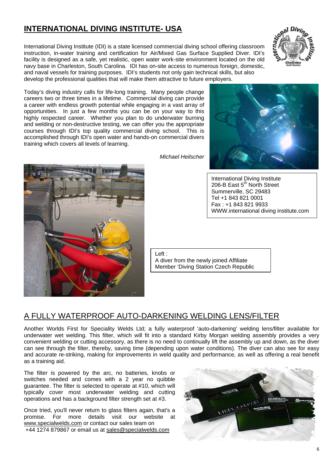# **INTERNATIONAL DIVING INSTITUTE- USA**

International Diving Institute (IDI) is a state licensed commercial diving school offering classroom instruction, in-water training and certification for Air/Mixed Gas Surface Supplied Diver. IDI's facility is designed as a safe, yet realistic, open water work-site environment located on the old navy base in Charleston, South Carolina. IDI has on-site access to numerous foreign, domestic, and naval vessels for training purposes. IDI's students not only gain technical skills, but also develop the professional qualities that will make them attractive to future employers.



Today's diving industry calls for life-long training. Many people change careers two or three times in a lifetime. Commercial diving can provide a career with endless growth potential while engaging in a vast array of opportunities. In just a few months you can be on your way to this highly respected career. Whether you plan to do underwater burning and welding or non-destructive testing, we can offer you the appropriate courses through IDI's top quality commercial diving school. This is accomplished through IDI's open water and hands-on commercial divers training which covers all levels of learning.



International Diving Institute 206-B East 5<sup>th</sup> North Street Summerville, SC 29483 Tel +1 843 821 0001 Fax : +1 843 821 9933 WWW.international diving institute.com

Left :

A diver from the newly joined Affiliate Member 'Diving Station Czech Republic

## A FULLY WATERPROOF AUTO-DARKENING WELDING LENS/FILTER

Another Worlds First for Speciality Welds Ltd; a fully waterproof 'auto-darkening' welding lens/filter available for underwater wet welding. This filter, which will fit into a standard Kirby Morgan welding assembly provides a very convenient welding or cutting accessory, as there is no need to continually lift the assembly up and down, as the diver can see through the filter, thereby, saving time (depending upon water conditions). The diver can also see for easy and accurate re-striking, making for improvements in weld quality and performance, as well as offering a real benefit as a training aid.

The filter is powered by the arc, no batteries, knobs or switches needed and comes with a 2 year no quibble guarantee. The filter is selected to operate at #10, which will typically cover most underwater welding and cutting operations and has a background filter strength set at #3.

Once tried, you'll never return to glass filters again, that's a promise. For more details visit our website at www.specialwelds.com or contact our sales team on +44 1274 879867 or email us at sales@specialwelds.com



*Michael Heilscher*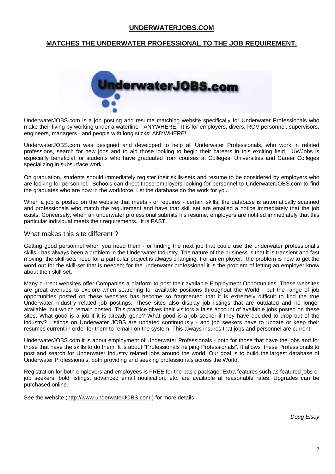### **UNDERWATERJOBS.COM**

### **MATCHES THE UNDERWATER PROFESSIONAL TO THE JOB REQUIREMENT.**



UnderwaterJOBS.com is a job posting and resume matching website specifically for Underwater Professionals who make their living by working under a waterline - ANYWHERE. It is for employers, divers, ROV personnel, supervisors, engineers, managers - and people with long sticks! ANYWHERE!

UnderwaterJOBS.com was designed and developed to help all Underwater Professionals, who work in related professions, search for new jobs and to aid those looking to begin their careers in this exciting field. UWJobs is especially beneficial for students who have graduated from courses at Colleges, Universities and Career Colleges specializing in subsurface work.

On graduation, students should immediately register their skills-sets and resume to be considered by employers who are looking for personnel. Schools can direct those employers looking for personnel to UnderwaterJOBS.com to find the graduates who are now in the workforce. Let the database do the work for you.

When a job is posted on the website that meets - or requires - certain skills, the database is automatically scanned and professionals who match the requirement and have that skill set are emailed a notice immediately that the job exists. Conversely, when an underwater professional submits his resume, employers are notified immediately that this particular individual meets their requirements. It is FAST.

#### What makes this site different ?

Getting good personnel when you need them - or finding the next job that could use the underwater professional's skills - has always been a problem in the Underwater Industry. The nature of the business is that it is transient and fast moving; the skill-sets need for a particular project is always changing. For an employer, the problem is how to get the word out for the skill-set that is needed; for the underwater professional it is the problem of letting an employer know about their skill set.

Many current websites offer Companies a platform to post their available Employment Opportunities. These websites are great avenues to explore when searching for available positions throughout the World - but the range of job opportunities posted on these websites has become so fragmented that it is extremely difficult to find the true Underwater Industry related job postings. These sites also display job listings that are outdated and no longer available, but which remain posted. This practice gives their visitors a false account of available jobs posted on these sites. What good is a job if it is already gone? What good is a job seeker if they have decided to drop out of the industry? Listings on Underwater JOBS are updated continuously - and job seekers have to update or keep their resumes current in order for them to remain on the system. This always insures that jobs and personnel are current.

UnderwaterJOBS.com it is about employment of Underwater Professionals - both for those that have the jobs and for those that have the skills to do them. It is about "Professionals helping Professionals". It allows these Professionals to post and search for Underwater Industry related jobs around the world. Our goal is to build the largest database of Underwater Professionals, both providing and seeking professionals across the World.

Registration for both employers and employees is FREE for the basic package. Extra features such as featured jobs or job seekers, bold listings, advanced email notification, etc. are available at reasonable rates. Upgrades can be purchased online.

See the website (http://www.underwaterJOBS.com ) for more details.

*Doug Elsey*